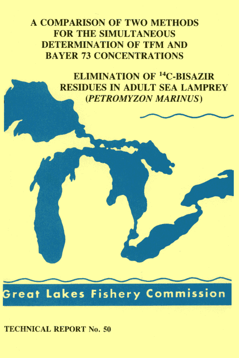**A COMPARISON OF TWO METHODS FOR THE SIMULTANEOUS DETERMINATION OF TEM AND BAYER 73 CONCENTRATIONS** 

> **ELIMINATION OF <sup>14</sup>C-BISAZIR RESIDUES IN ADULT SEA LAMPREY** (PETROMYZON MARINUS)

**Great Lakes Fishery Commission** 

## **TECHNICAL REPORT No. 50**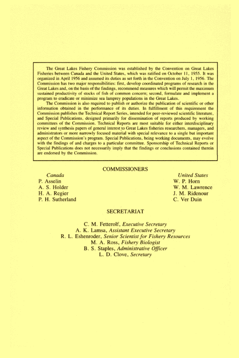The Great Lakes Fishery Commission was established by the Convention on Great Lakes Fisheries between Canada and the United States, which was ratified on October 11, 1955. It was organized in April 1956 and assumed its duties as set forth in the Convention on July 1, 1956. The Commission has two major responsibilities: first, develop coordinated programs of research in the Great Lakes and, on the basis of the findings, recommend measures which will permit the maximum sustained productivity of stocks of fish of common concern; second, formulate and implement a program to eradicate or minimize sea lamprey populations in the Great Lakes.

The Commission is also required to publish or authorize the publication of scientific or other information obtained in the performance of its duties. In fulfillment of this requirement the Commission publishes the Technical Report Series, intended for peer-reviewed scientific literature, and Special Publications, designed primarily for dissemination of reports produced by working committees of the Commission. Technical Reports are most suitable for either interdisciplinary review and synthesis papers of general interest to Great Lakes fisheries researchers, managers, and administrators or more narrowly focused material with special relevance to a single but important aspect of the Commission's program. Special Publications, being working documents, may evolve with the findings of and charges to a particular committee. Sponsorship of Technical Reports or Special Publications does not necessarily imply that the findings or conclusions contained therein are endorsed by the Commission.

#### **COMMISSIONERS**

Canada P. Asselin A. S. Holder H. A. Regier P. H. Sutherland

## **United States** W. P. Horn W. M. Lawrence J. M. Ridenour C. Ver Duin

#### **SECRETARIAT**

C. M. Fetterolf, Executive Secretary A. K. Lamsa, Assistant Executive Secretary R. L. Eshenroder, Senior Scientist for Fishery Resources M. A. Ross, Fishery Biologist B. S. Staples, Administrative Officer L. D. Clove, Secretary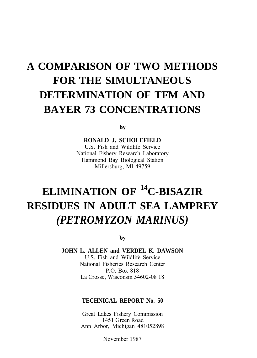## **A COMPARISON OF TWO METHODS FOR THE SIMULTANEOUS DETERMINATION OF TFM AND BAYER 73 CONCENTRATIONS**

by

**RONALD J. SCHOLEFIELD** U.S. Fish and Wildlife Service

National Fishery Research Laboratory Hammond Bay Biological Station Millersburg, MI 49759

## **ELIMINATION OF <sup>14</sup>C-BISAZIR RESIDUES IN ADULT SEA LAMPREY** *(PETROMYZON MARINUS)*

by

**JOHN L. ALLEN and VERDEL K. DAWSON** U.S. Fish and Wildlife Service National Fisheries Research Center P.O. Box 818 La Crosse, Wisconsin 54602-08 18

## **TECHNICAL REPORT No. 50**

Great Lakes Fishery Commission 1451 Green Road Ann Arbor, Michigan 481052898

November 1987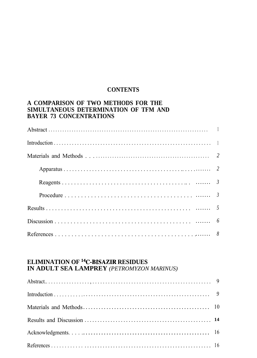## **CONTENTS**

## A COMPARISON OF TWO METHODS FOR THE SIMULTANEOUS DETERMINATION OF TFM AND **BAYER 73 CONCENTRATIONS**

# ELIMINATION OF <sup>14</sup>C-BISAZIR RESIDUES<br>IN ADULT SEA LAMPREY (PETROMYZON MARINUS)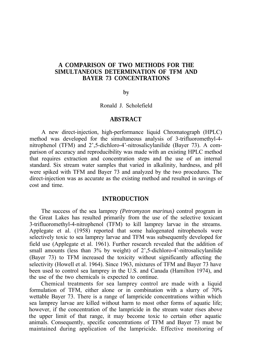## **A COMPARISON OF TWO METHODS FOR THE SIMULTANEOUS DETERMINATION OF TFM AND BAYER 73 CONCENTRATIONS**

by

Ronald J. Scholefield

#### **ABSTRACT**

A new direct-injection, high-performance liquid Chromatograph (HPLC) method was developed for the simultaneous analysis of 3-trifluoromethyl-4 nitrophenol (TFM) and 2',5-dichloro-4'-nitrosalicylanilide (Bayer 73). A comparison of accuracy and reproducibility was made with an existing HPLC method that requires extraction and concentration steps and the use of an internal standard. Six stream water samples that varied in alkalinity, hardness, and pH were spiked with TFM and Bayer 73 and analyzed by the two procedures. The direct-injection was as accurate as the existing method and resulted in savings of cost and time.

#### **INTRODUCTION**

The success of the sea lamprey *(Petromyzon marinus)* control program in the Great Lakes has resulted primarily from the use of the selective toxicant 3-trifluoromethyl-4-nitrophenol (TFM) to kill lamprey larvae in the streams. Applegate et al. (1958) reported that some halogenated nitrophenols were selectively toxic to sea lamprey larvae and TFM was subsequently developed for field use (Applegate et al. 1961). Further research revealed that the addition of small amounts (less than 3% by weight) of 2',5-dichloro-4'-nitrosalicylanilide (Bayer 73) to TFM increased the toxicity without significantly affecting the selectivity (Howell et al. 1964). Since 1963, mixtures of TFM and Bayer 73 have been used to control sea lamprey in the U.S. and Canada (Hamilton 1974), and the use of the two chemicals is expected to continue.

Chemical treatments for sea lamprey control are made with a liquid formulation of TFM, either alone or in combination with a slurry of 70% wettable Bayer 73. There is a range of lampricide concentrations within which sea lamprey larvae are killed without harm to most other forms of aquatic life; however, if the concentration of the lampricide in the stream water rises above the upper limit of that range, it may become toxic to certain other aquatic animals. Consequently, specific concentrations of TFM and Bayer 73 must be maintained during application of the lampricide. Effective monitoring of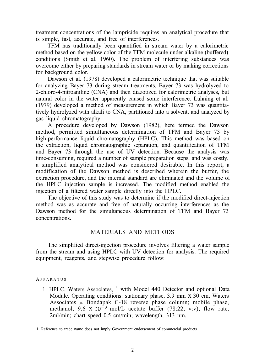treatment concentrations of the lampricide requires an analytical procedure that is simple, fast, accurate, and free of interferences.

TFM has traditionally been quantified in stream water by a calorimetric method based on the yellow color of the TFM molecule under alkaline (buffered) conditions (Smith et al. 1960). The problem of interfering substances was overcome either by preparing standards in stream water or by making corrections for background color.

Dawson et al. (1978) developed a calorimetric technique that was suitable for analyzing Bayer 73 during stream treatments. Bayer 73 was hydrolyzed to 2-chloro-4-nitroaniline (CNA) and then diazotized for calorimetric analyses, but natural color in the water apparently caused some interference. Luhning et al. (1979) developed a method of measurement in which Bayer 73 was quantitatively hydrolyzed with alkali to CNA, partitioned into a solvent, and analyzed by gas liquid chromatography.

A procedure developed by Dawson (1982), here termed the Dawson method, permitted simultaneous determination of TFM and Bayer 73 by high-performance liquid chromatography (HPLC). This method was based on the extraction, liquid chromatographic separation, and quantification of TFM and Bayer 73 through the use of UV detection. Because the analysis was time-consuming, required a number of sample preparation steps, and was costly, a simplified analytical method was considered desirable. In this report, a modification of the Dawson method is described wherein the buffer, the extraction procedure, and the internal standard are eliminated and the volume of the HPLC injection sample is increased. The modified method enabled the injection of a filtered water sample directly into the HPLC.

The objective of this study was to determine if the modified direct-injection method was as accurate and free of naturally occurring interferences as the Dawson method for the simultaneous determination of TFM and Bayer 73 concentrations.

## MATERIALS AND METHODS

The simplified direct-injection procedure involves filtering a water sample from the stream and using HPLC with UV detection for analysis. The required equipment, reagents, and stepwise procedure follow:

A PPARATUS

1. HPLC, Waters Associates, <sup>1</sup> with Model 440 Detector and optional Data Module. Operating conditions: stationary phase, 3.9 mm x 30 cm, Waters Associates  $\mu$  Bondapak C-18 reverse phase column; mobile phase, methanol, 9.6 x  $10^{-3}$  mol/L acetate buffer (78:22, v:v); flow rate, 2ml/min; chart speed 0.5 cm/min; wavelength, 313 nm.

<sup>1.</sup> Reference to trade name does not imply Government endorsement of commercial products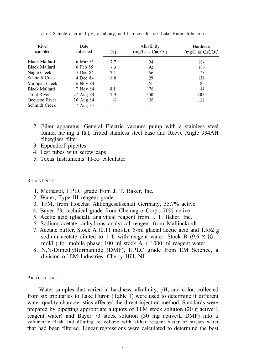| River<br>sampled     | Date<br>collected | PH  | Alkalinity<br>(mg/L as CaCO <sub>3</sub> ) | Hardness<br>$(mg/L \text{ as } CaCO_3)$ |
|----------------------|-------------------|-----|--------------------------------------------|-----------------------------------------|
| <b>Black Mallard</b> | 6 Mar 85          | 7.7 | 94                                         | 104                                     |
| <b>Black Mallard</b> | 6 Feb 85          | 7.3 | 92                                         | 106                                     |
| Nagle Creek          | 18 Dec 84         | 7.1 | 66                                         | 78                                      |
| Schmidt Creek        | 4 Dec 84          | 8.0 | 129                                        | 138                                     |
| Mulligan Creek       | 16 Nov 84         |     | 61                                         | 80                                      |
| <b>Black Mallard</b> | 7 Nov 84          | 8.1 | 176                                        | 184                                     |
| <b>Trout River</b>   | 27 Aug 84         | 7.9 | 200                                        | 206                                     |
| Ocqueoc River        | 20 Aug 84         | 82  | 136                                        | 153                                     |
| Schmidt Creek        | 7 Aug 84          |     | -                                          |                                         |

TABLE I Sample data and pH, alkalinity, and hardness for six Lake Huron tributaries.

- 2. Filter apparatus, General Electric vacuum pump with a stainless steel funnel having a flat, fritted stainless steel base and Reeve Angle 934AH fiberglass filter
- 3. Eppendorf pipettes
- 4. Test tubes with screw caps
- 5. Texas Instruments TI-55 calculator

#### R EAGENTS

- 1. Methanol, HPLC grade from J. T. Baker, Inc.
- 2. Water, Type III reagent grade
- 3. TFM, from Hoechst Aktiengesellschaft Germany, 35.7% active
- 4. Bayer 73, technical grade from Chemagro Corp., 70% active
- 5. Acetic acid (glacial), analytical reagent from J. T. Baker, Inc.
- 6. Sodium acetate, anhydrous analytical reagent from Mallinckrodt
- 7. Acetate buffer, Stock A (0.11 mol/L): 5-ml glacial acetic acid and 1.552 g sodium acetate diluted to 1 L with reagent water. Stock B  $(9.6 \times 10^{-3})$ mol/L) for mobile phase: 100 ml stock  $A + 1000$  ml reagent water.
- 8. N,N-Dimethylformamide (DMF), HPLC grade from EM Science, a division of EM Industries, Cherry Hill, NJ

#### **PROCEDURE**

Water samples that varied in hardness, alkalinity, pH, and color, collected from six tributaries to Lake Huron (Table 1) were used to determine if different water quality characteristics affected the direct-injection method. Standards were prepared by pipetting appropriate aliquots of TFM stock solution (20 g active/L reagent water) and Bayer 73 stock solution (30 mg active/L DMF) into a volumetric flask and diluting to volume with either reagent water or stream water that had been filtered. Linear regressions were calculated to determine the best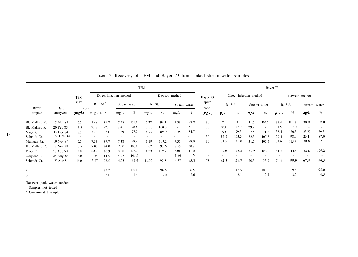|                |                  |                          |             |                   |                          |              | <b>TFM</b> |       |                          |              |                          |                          |                          |                          |                          | Bayer 73  |                          |                          |                          |
|----------------|------------------|--------------------------|-------------|-------------------|--------------------------|--------------|------------|-------|--------------------------|--------------|--------------------------|--------------------------|--------------------------|--------------------------|--------------------------|-----------|--------------------------|--------------------------|--------------------------|
|                |                  | <b>TFM</b>               |             |                   | Direct-inlection method  |              |            |       | Dawson method            |              | Bayer 73                 |                          | Direct injection method  |                          |                          |           |                          | Dawson method            |                          |
| River          |                  | spike                    | R.          | Std. <sup>a</sup> |                          | Stream water | R. Std.    |       |                          | Stream water | spike                    |                          | R Std.                   |                          | Stream water             |           | R. Std.                  |                          | stream water             |
| sampled        | Date<br>analyzed | conc.<br>(mg/L)          | m g / L $%$ |                   | mg/L                     | $\%$         | mg/L       | $\%$  | mg/L                     | $\%$         | conc.<br>$(\mu g/L)$     | $\mu$ g/L                | $\frac{0}{0}$            | $\mu$ g/L                | $\%$                     | $\mu$ g/L | $\%$                     | μg/L                     | $\%$                     |
| Bl. Mallard R. | 7 Mar 85         | 7.5                      | 7.48        | 99.7              | 758                      | 101.1        | 7.22       | 96.3  | 7.33                     | 977          | 30                       | $\ast$                   | 米                        | 31.7                     | 105.7                    | 33.4      | III <sub>3</sub>         | 30.9                     | 103.0                    |
| Bl. Mallard R  | 20 Feb 85        | 7 <sub>5</sub>           | 7.28        | 97.1              | 7.41                     | 98.8         | 7.50       | 100.0 | $\overline{\phantom{a}}$ |              | 30                       | 30.8                     | 102.7                    | 29.2                     | 97.3                     | 31.5      | 105.0                    | $\overline{\phantom{a}}$ |                          |
| Nagle Cr.      | 19 Dec 84        | 7.5                      | 7.28        | 97.1              | 7.29                     | 97.2         | 6.74       | 89.9  | 6 3 5                    | 84.7         | 30                       | 29.8                     | 99.3                     | 27.5                     | 91.7                     | 36.1      | 120.3                    | 23.X                     | 79.3                     |
| Schmidt Cr.    | 6 Dec 84         | $\overline{\phantom{a}}$ |             |                   | $\overline{\phantom{a}}$ |              |            |       |                          |              | 30                       | 34.0                     | 113.3                    | 32.3                     | 107.7                    | 29.4      | 98.0                     | 26.1                     | 87.0                     |
| Mulligan Cr.   | 19 Nov 84        | 7.5                      | 7.33        | 97.7              | 7.38                     | 98.4         | 8.19       | 109.2 | 7.35                     | 98.0         | 30                       | 31.5                     | 105.0                    | 31.5                     | 105.0                    | 34.6      | 115.3                    | 30.8                     | 102.7                    |
| Bl. Mallard R. | 8 Nov 84         | 7.5                      | 7.05        | 94.0              | 7.50                     | 100.0        | 7.02       | 93.6  | 7.55                     | 100.7        | $\overline{\phantom{a}}$ |                          |                          |                          |                          |           |                          |                          |                          |
| Trout R.       | 28 Aug X4        | 8.0                      | 6.82        | 90.9              | 808                      | 108.7        | 8.23       | 109.7 | 8.01                     | 106.8        | 36                       | 37.0                     | 102.X                    | 3X.2                     | 106.1                    | 41.2      | 114.4                    | 3X.6                     | 107.2                    |
| Ocqueoc R.     | 24 Aug 84        | 4.0                      | 3.24        | 81.0              | 4.07                     | 101.7        |            |       | 3 6 6                    | 91.5         | $\overline{\phantom{a}}$ | $\overline{\phantom{a}}$ | $\overline{\phantom{a}}$ | $\overline{\phantom{a}}$ | $\overline{\phantom{a}}$ |           | $\overline{\phantom{a}}$ | $\overline{\phantom{a}}$ | $\overline{\phantom{a}}$ |
| Schmidt Cr.    | Y Aug 84         | 15.0                     | 13.87       | 92.5              | 14.25                    | 95.0         | 13.92      | 92.8  | 14.37                    | 95.8         | 75                       | x23                      | 109.7                    | 70.3                     | 93.7                     | 74.9      | 99.9                     | 67.9                     | 90.5                     |
| X              |                  |                          |             | 93.7              |                          | 100.1        |            | 98.8  |                          | 96.5         |                          |                          | 105.5                    |                          | 101.0                    |           | 109.2                    |                          | 95.0                     |
| <b>SE</b>      |                  |                          |             | 2.1               |                          | 1.4          |            | 30    |                          | 2.6          |                          |                          | 2.1                      |                          | 2.5                      |           | 3.2                      |                          | 4.5                      |

## TABLE 2. Recovery of TFM and Bayer 73 from spiked stream water samples.

<sup>a</sup>Reagent grade water standard

- Samples not tested \* Contaminated sample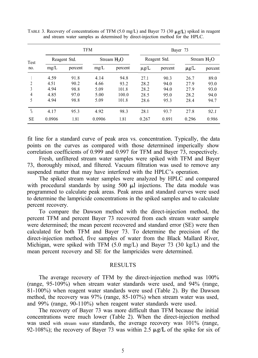|                |        |              | <b>TFM</b> |                         | Bayer 73  |              |               |         |  |  |
|----------------|--------|--------------|------------|-------------------------|-----------|--------------|---------------|---------|--|--|
| Test           |        | Reagent Std. |            | Stream H <sub>2</sub> O |           | Reagent Std. | Stream $H_2O$ |         |  |  |
| no.            | mg/L   | percent      | mg/L       | percent                 | $\mu$ g/L | percent      | $\mu$ g/L     | percent |  |  |
|                | 4.59   | 91.8         | 4.14       | 94.8                    | 27.1      | 90.3         | 26.7          | 89.0    |  |  |
| $\overline{c}$ | 4.51   | 90.2         | 4.66       | 93.2                    | 28.2      | 94.0         | 27.9          | 93.0    |  |  |
| 3              | 4.94   | 98.8         | 5.09       | 101.8                   | 28.2      | 94.0         | 27.9          | 93.0    |  |  |
| 4              | 4.85   | 97.0         | 5.00       | 100.0                   | 28.5      | 95.0         | 28.2          | 94.0    |  |  |
| 5              | 4.94   | 98.8         | 5.09       | 101.8                   | 28.6      | 95.3         | 28.4          | 94.7    |  |  |
| $\frac{0}{10}$ | 4.17   | 95.3         | 4.92       | 98.3                    | 28.1      | 93.7         | 27.8          | 92.1    |  |  |
| <b>SE</b>      | 0.0906 | 1.81         | 0.0906     | 1.81                    | 0.267     | 0.891        | 0.296         | 0.986   |  |  |

TABLE 3. Recovery of concentrations of TFM (5.0 mg/L) and Bayer 73 (30  $\mu$ g/L) spiked in reagent and stream water samples as determined by direct-injection method for the HPLC.

fit line for a standard curve of peak area vs. concentration. Typically, the data points on the curves as compared with those determined imperically show correlation coefficients of 0.999 and 0.997 for TFM and Bayer 73, respectively.

Fresh, unfiltered stream water samples were spiked with TFM and Bayer 73, thoroughly mixed, and filtered. Vacuum filtration was used to remove any suspended matter that may have interfered with the HPLC's operation.

The spiked stream water samples were analyzed by HPLC and compared with procedural standards by using 500  $\mu$ l injections. The data module was programmed to calculate peak areas. Peak areas and standard curves were used to determine the lampricide concentrations in the spiked samples and to calculate percent recovery.

To compare the Dawson method with the direct-injection method, the percent TFM and percent Bayer 73 recovered from each stream water sample were determined; the mean percent recovered and standard error (SE) were then calculated for both TFM and Bayer 73. To determine the precision of the direct-injection method, five samples of water from the Black Mallard River, Michigan, were spiked with TFM (5.0 mg/L) and Bayer 73 (30 kg/L) and the mean percent recovery and SE for the lampricides were determined.

#### RESULTS

The average recovery of TFM by the direct-injection method was 100% (range, 95-109%) when stream water standards were used, and 94% (range, 81-100%) when reagent water standards were used (Table 2). By the Dawson method, the recovery was 97% (range, 85-107%) when stream water was used, and 99% (range, 90-110%) when reagent water standards were used.

The recovery of Bayer 73 was more difficult than TFM because the initial concentrations were much lower (Table 2). When the direct-injection method was used with stream water standards, the average recovery was 101% (range, 92-108%); the recovery of Bayer 73 was within 2.5  $\mu$ g/L of the spike for six of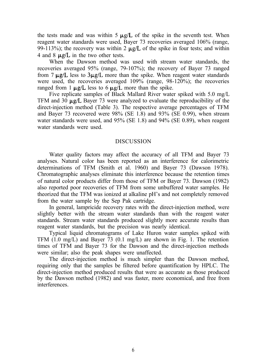the tests made and was within 5  $\mu$ g/L of the spike in the seventh test. When reagent water standards were used, Bayer 73 recoveries averaged 106% (range, 99-113%); the recovery was within 2  $\mu$ g/L of the spike in four tests; and within 4 and 8  $\mu$ g/L in the two other tests.

When the Dawson method was used with stream water standards, the recoveries averaged 95% (range, 79-107%); the recovery of Bayer 73 ranged from 7  $\mu$ g/L less to 3 $\mu$ g/L more than the spike. When reagent water standards were used, the recoveries averaged 109% (range, 98-120%); the recoveries ranged from 1  $\mu$ g/L less to 6  $\mu$ g/L more than the spike.

Five replicate samples of Black Mallard River water spiked with 5.0 mg/L TFM and 30  $\mu$ g/L Bayer 73 were analyzed to evaluate the reproducibility of the direct-injection method (Table 3). The respective average percentages of TFM and Bayer 73 recovered were 98% (SE 1.8) and 93% (SE 0.99), when stream water standards were used, and 95% (SE 1.8) and 94% (SE 0.89), when reagent water standards were used.

#### DISCUSSION

Water quality factors may affect the accuracy of all TFM and Bayer 73 analyses. Natural color has been reported as an interference for calorimetric determinations of TFM (Smith et al. 1960) and Bayer 73 (Dawson 1978). Chromatographic analyses eliminate this interference because the retention times of natural color products differ from those of TFM or Bayer 73. Dawson (1982) also reported poor recoveries of TFM from some unbuffered water samples. He theorized that the TFM was ionized at alkaline pH's and not completely removed from the water sample by the Sep Pak cartridge.

In general, lampricide recovery rates with the direct-injection method, were slightly better with the stream water standards than with the reagent water standards. Stream water standards produced slightly more accurate results than reagent water standards, but the precision was nearly identical.

Typical liquid chromatograms of Lake Huron water samples spiked with TFM  $(1.0 \text{ mg/L})$  and Bayer 73  $(0.1 \text{ mg/L})$  are shown in Fig. 1. The retention times of TFM and Bayer 73 for the Dawson and the direct-injection methods were similar; also the peak shapes were unaffected.

The direct-injection method is much simpler than the Dawson method, requiring only that the samples be filtered before quantification by HPLC. The direct-injection method produced results that were as accurate as those produced by the Dawson method (1982) and was faster, more economical, and free from interferences.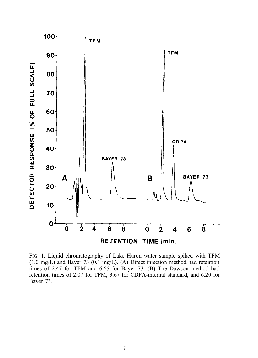

FIG. 1. Liquid chromatography of Lake Huron water sample spiked with TFM  $(1.0 \text{ mg/L})$  and Bayer 73  $(0.1 \text{ mg/L})$ . (A) Direct injection method had retention times of 2.47 for TFM and 6.65 for Bayer 73. (B) The Dawson method had retention times of 2.07 for TFM, 3.67 for CDPA-internal standard, and 6.20 for Bayer 73.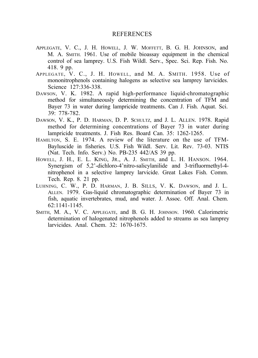#### REFERENCES

- APPLEGATE, V. C., J. H. HOWELL, J. W. MOFFETT, B. G. H. JOHNSON, and M. A. SMITH. 1961. Use of mobile bioassay equipment in the chemical control of sea lamprey. U.S. Fish Wildl. Serv., Spec. Sci. Rep. Fish. No. 418. 9 pp.
- APPLEGATE, V. C., J. H. HOWELL, and M. A. SMITH. 1958. Use of mononitrophenols containing halogens as selective sea lamprey larvicides. Science 127:336-338.
- DAWSON, V. K. 1982. A rapid high-performance liquid-chromatographic method for simultaneously determining the concentration of TFM and Bayer 73 in water during lampricide treatments. Can J. Fish. Aquat. Sci. 39: 778-782.
- DAWSON, V. K., P. D. HARMAN, D. P. SCHULTZ, and J. L. ALLEN. 1978. Rapid method for determining concentrations of Bayer 73 in water during lampricide treatments. J. Fish Res. Board Can. 35: 1262-1265.
- HAMILTON, S. E. 1974. A review of the literature on the use of TFM-Bayluscide in fisheries. U.S. Fish Wildl. Serv. Lit. Rev. 73-03. NTIS (Nat. Tech. Info. Serv.) No. PB-235 442/AS 39 pp.
- HOWELL, J. H., E. L. KING, JR., A. J. SMITH, and L. H. HANSON. 1964. Synergism of 5,2'-dichloro-4'nitro-salicylanilide and 3-trifluormethyl-4 nitrophenol in a selective lamprey larvicide. Great Lakes Fish. Comm. Tech. Rep. 8. 21 pp.
- LUHNING, C. W., P. D. HARMAN, J. B. SILLS, V. K. DAWSON, and J. L. ALLEN. 1979. Gas-liquid chromatographic determination of Bayer 73 in fish, aquatic invertebrates, mud, and water. J. Assoc. Off. Anal. Chem. 62:1141-1145.
- SMITH, M. A., V. C. APPLEGATE, and B. G. H. JOHNSON. 1960. Calorimetric determination of halogenated nitrophenols added to streams as sea lamprey larvicides. Anal. Chem. 32: 1670-1675.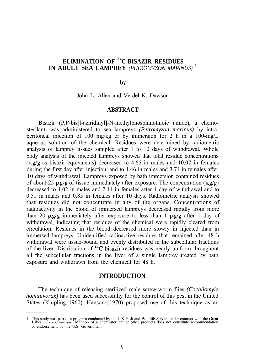## **ELIMINATION OF <sup>14</sup>C-BISAZIR RESIDUES IN ADULT SEA LAMPREY** *(PETROMYZON MARINUS)* **<sup>1</sup>**

by

John L. Allen and Verdel K. Dawson

#### **ABSTRACT**

Bisazir (P,P-bis[l-aziridinyl]-N-methylphosphinothioic amide), a chemosterilant, was administered to sea lampreys *(Petromyzon marinus)* by intraperitoneal injection of 100 mg/kg or by immersion for 2 h in a 100-mg/L aqueous solution of the chemical. Residues were determined by radiometric analysis of lamprey tissues sampled after 1 to 10 days of withdrawal. Whole body analysis of the injected lampreys showed that total residue concentrations  $(\mu$ g/g as bisazir equivalents) decreased to 4.65 in males and 10.07 in females during the first day after injection, and to 1.46 in males and 3.74 in females after 10 days of withdrawal. Lampreys exposed by bath immersion contained residues of about 25  $\mu$ g/g of tissue immediately after exposure. The concentration ( $\mu$ g/g) decreased to 1.02 in males and 2.11 in females after 1 day of withdrawal and to 0.51 in males and 0.85 in females after 10 days. Radiometric analysis showed that residues did not concentrate in any of the organs. Concentrations of radioactivity in the blood of immersed lampreys decreased rapidly from more than 20  $\mu$ g/g immediately after exposure to less than 1  $\mu$ g/g after 1 day of withdrawal, indicating that residues of the chemical were rapidly cleared from circulation. Residues in the blood decreased more slowly in injected than in immersed lampreys. Unidentified radioactive residues that remained after 48 h withdrawal were tissue-bound and evenly distributed in the subcellular fractions of the liver. Distribution of 14C-bisazir residues was nearly uniform throughout all the subcellular fractions in the liver of a single lamprey treated by bath exposure and withdrawn from the chemical for 48 h.

#### **INTRODUCTION**

The technique of releasing sterilized male screw-worm flies *(Cochliomyia hominivorax*) has been used successfully for the control of this pest in the United States (Knipling 1960). Hanson (1970) proposed use of this technique as an

<sup>1.</sup> This study was part of a program conducted by the U.S. Fish and Wildlife Service under contract with the Great<br>Lakes Fishery Commission. Mention of a chemosterilant or other products does not constitute recommendation<br>o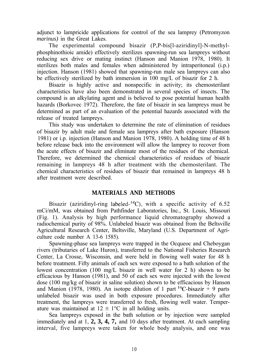adjunct to lampricide applications for control of the sea lamprey (Petromyzon *marinus)* in the Great Lakes.

The experimental compound bisazir (P,P-bis[l-aziridinyl]-N-methylphosphinothioic amide) effectively sterilizes spawning-run sea lampreys without reducing sex drive or mating instinct (Hanson and Manion 1978, 1980). It sterilizes both males and females when administered by intraperitoneal (i.p.) injection. Hanson (1981) showed that spawning-run male sea lampreys can also be effectively sterilized by bath immersion in 100 mg/L of bisazir for 2 h.

Bisazir is highly active and nonspecific in activity; its chemosterilant characteristics have also been demonstrated in several species of insects. The compound is an alkylating agent and is believed to pose potential human health hazards (Borkovec 1972). Therefore, the fate of bisazir in sea lampreys must be determined as part of an evaluation of the potential hazards associated with the release of treated lampreys.

This study was undertaken to determine the rate of elimination of residues of bisazir by adult male and female sea lampreys after bath exposure (Hanson 1981) or i.p. injection (Hanson and Manion 1978, 1980). A holding time of 48 h before release back into the environment will allow the lamprey to recover from the acute effects of bisazir and eliminate most of the residues of the chemical. Therefore, we determined the chemical characteristics of residues of bisazir remaining in lampreys 48 h after treatment with the chemosterilant. The chemical characteristics of residues of bisazir that remained in lampreys 48 h after treatment were described.

## **MATERIALS AND METHODS**

Bisazir (aziridinyl-ring labeled-<sup>14</sup>C), with a specific activity of  $6.52$ mCi/mM, was obtained from Pathfinder Laboratories, Inc., St. Louis, Missouri (Fig. 1). Analysis by high performance liquid chromatography showed a radiochemical purity of 98%. Unlabeled bisazir was obtained from the Beltsville Agricultural Research Center, Beltsville, Maryland (U.S. Department of Agriculture code number A 13-6 1585).

Spawning-phase sea lampreys were trapped in the Ocqueoc and Cheboygan rivers (tributaries of Lake Huron), transferred to the National Fisheries Research Center, La Crosse, Wisconsin, and were held in flowing well water for 48 h before treatment. Fifty animals of each sex were exposed to a bath solution of the lowest concentration (100 mg/L bisazir in well water for 2 h) shown to be efficacious by Hanson (1981), and 50 of each sex were injected with the lowest dose (100 mg/kg of bisazir in saline solution) shown to be efficacious by Hanson and Manion (1978, 1980). An isotope dilution of 1 part <sup>14</sup>C-bisazir + 9 parts unlabeled bisazir was used in both exposure procedures. Immediately after treatment, the lampreys were transferred to fresh, flowing well water. Temperature was maintained at  $12 \pm 1$ °C in all holding units.

Sea lampreys exposed in the bath solution or by injection were sampled immediately and at 1, **2, 3, 4, 7,** and 10 days after treatment. At each sampling interval, five lampreys were taken for whole body analysis, and one was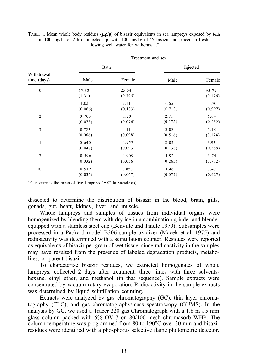|                           | Treatment and sex |                  |          |                  |  |  |  |  |  |
|---------------------------|-------------------|------------------|----------|------------------|--|--|--|--|--|
|                           |                   | Bath             | Injected |                  |  |  |  |  |  |
| Withdrawal<br>time (days) | Male              | Female           | Male     | Female           |  |  |  |  |  |
| $\boldsymbol{0}$          | 25.82<br>(1.31)   | 25.04<br>(0.795) |          | 95.79<br>(0.176) |  |  |  |  |  |
|                           | 1.02              | 2.11             | 4.65     | 10.70            |  |  |  |  |  |
|                           | (0.066)           | (0.133)          | (0.713)  | (0.997)          |  |  |  |  |  |
| $\overline{2}$            | 0.703             | 1.20             | 2.71     | 6.04             |  |  |  |  |  |
|                           | (0.075)           | (0.076)          | (0.175)  | (0.252)          |  |  |  |  |  |
| 3                         | 0.725             | 1.11             | 3.03     | 4.18             |  |  |  |  |  |
|                           | (0.066)           | (0.098)          | (0.516)  | (0.174)          |  |  |  |  |  |
| $\overline{4}$            | 0.640             | 0.957            | 2.02     | 3.93             |  |  |  |  |  |
|                           | (0.047)           | (0.093)          | (0.138)  | (0.389)          |  |  |  |  |  |
| $\overline{7}$            | 0.596             | 0.909            | 1.92     | 3.74             |  |  |  |  |  |
|                           | (0.032)           | (0.056)          | (0.265)  | (0.762)          |  |  |  |  |  |
| 10                        | 0.512             | 0.853            | 1.46     | 3.47             |  |  |  |  |  |
|                           | (0.035)           | (0.067)          | (0.077)  | (0.427)          |  |  |  |  |  |

| TABLE I. Mean whole body residues ( $\mu g/g$ ) of bisazir equivalents in sea lampreys exposed by bath |  |  |  |  |  |  |
|--------------------------------------------------------------------------------------------------------|--|--|--|--|--|--|
| in 100 mg/L for 2 h or injected i.p. with 100 mg/kg of 'Y-bisazir and placed in fresh,                 |  |  |  |  |  |  |
| flowing well water for withdrawal."                                                                    |  |  |  |  |  |  |

<sup>a</sup>Each entry is the mean of five lampreys ( $\pm$  SE in parentheses).

dissected to determine the distribution of bisazir in the blood, brain, gills, gonads, gut, heart, kidney, liver, and muscle.

Whole lampreys and samples of tissues from individual organs were homogenized by blending them with dry ice in a combination grinder and blender equipped with a stainless steel cup (Benville and Tindle 1970). Subsamples were processed in a Packard model B306 sample oxidizer (Macek et al. 1975) and radioactivity was determined with a scintillation counter. Residues were reported as equivalents of bisazir per gram of wet tissue, since radioactivity in the samples may have resulted from the presence of labeled degradation products, metabolites, or parent bisazir.

To characterize bisazir residues, we extracted homogenates of whole lampreys, collected 2 days after treatment, three times with three solventshexane, ethyl ether, and methanol (in that sequence). Sample extracts were concentrated by vacuum rotary evaporation. Radioactivity in the sample extracts was determined by liquid scintillation counting.

Extracts were analyzed by gas chromatography (GC), thin layer chromatography (TLC), and gas chromatography/mass spectroscopy (GUMS). In the analysis by GC, we used a Tracer 220 gas Chromatograph with a  $1.8 \text{ m} \times 5 \text{ mm}$ glass column packed with 5% OV-7 on 80/100 mesh chromasorb WHP. The column temperature was programmed from 80 to 190°C over 30 min and bisazir residues were identified with a phosphorus selective flame photometric detector.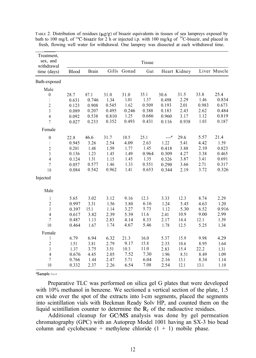| Treatment,<br>sex, and<br>withdrawal |       |       |       |             | Tissue |                  |              |       |              |
|--------------------------------------|-------|-------|-------|-------------|--------|------------------|--------------|-------|--------------|
| time (days)                          | Blood | Brain |       | Gills Gonad | Gut    |                  | Heart Kidney |       | Liver Muscle |
| Bath-exposed                         |       |       |       |             |        |                  |              |       |              |
| Male                                 |       |       |       |             |        |                  |              |       |              |
| $\boldsymbol{0}$                     | 28.7  | 87.1  | 31.0  | 31.0        | 35.1   | 30.6             | 31.5         | 33.8  | 25.4         |
| $\mathbf{I}$                         | 0.631 | 0.746 | 1.34  | 1.01        | 1.37   | 0.498            | 2.29         | 1.46  | 0.834        |
| $\boldsymbol{2}$                     | 0.123 | 0.908 | 0.545 | 1.62        | 0.509  | 0.193            | 2.01         | 0.983 | 0.673        |
| $\sqrt{3}$                           | 0.089 | 0.207 | 0.495 | 0.246       | 0.388  | 0.183            | 2.43         | 2.62  | 0.484        |
| $\overline{4}$                       | 0.092 | 0.538 | 0.810 | 1.25        | 0.686  | 0.960            | 3.17         | 1.12  | 0.819        |
| $\overline{7}$                       | 0.027 | 0.233 | 0.352 | 0.493       | 0.431  | 0.116            | 0.938        | 1.03  | 0.187        |
| Female                               |       |       |       |             |        |                  |              |       |              |
| $\boldsymbol{0}$                     | 22.8  | 46.6  | 31.7  | 10.5        | 25.1   | $-$ <sup>a</sup> | 29.6         | 5.57  | 21.4         |
| $\overline{1}$                       | 0.945 | 3.26  | 2.54  | 4.09        | 2.63   | 1.22             | 5.41         | 4.42  | 1.59         |
| $\boldsymbol{2}$                     | 0.201 | 1.48  | 1.59  | 1.77        | 1.45   | 0.418            | 3.88         | 2.10  | 0.823        |
| $\mathfrak z$                        | 0.136 | 1.23  | 1.45  | 1.49        | 0.964  | 0.309            | 4.27         | 3.38  | 0.465        |
| $\overline{4}$                       | 0.124 | 1.31  | 1.15  | 1.45        | 1.35   | 0.326            | 3.87         | 3.41  | 0.691        |
| $\overline{7}$                       | 0.057 | 0.577 | 1.46  | 1.33        | 0.551  | 0.290            | 3.66         | 2.71  | 0.317        |
| 10                                   | 0.084 | 0.542 | 0.962 | 1.41        | 0.653  | 0.344            | 2.19         | 3.72  | 0.326        |
| Injected                             |       |       |       |             |        |                  |              |       |              |
| Male                                 |       |       |       |             |        |                  |              |       |              |
| I                                    | 5.65  | 3.02  | 3.12  | 9.16        | 12.3   | 3.33             | 12.3         | 8.74  | 2.29         |
| $\sqrt{2}$                           | 0.997 | 3.31  | 1.56  | 3.80        | 6.16   | 1.24             | 5.45         | 4.63  | 1.20         |
| $\overline{3}$                       | 0.397 | 15.1  | 1.14  | 3.27        | 5.73   | 1.12             | 5.30         | 6.52  | 0.916        |
| $\overline{4}$                       | 0.617 | 3.82  | 2.39  | 5.39        | 11.6   | 2.41             | 10.9         | 9.00  | 2.99         |
| $\overline{7}$                       | 0.487 | 1.13  | 2.83  | 4.14        | 8.33   | 2.17             | 14.4         | 12.1  | 1.39         |
| 10                                   | 0.464 | 1.67  | 1.74  | 4.67        | 5.46   | 1.78             | 12.5         | 5.25  | 1.34         |
| Female                               |       |       |       |             |        |                  |              |       |              |
| I                                    | 6.79  | 6.94  | 6.32  | 21.3        | 16.0   | 5.37             | 15.9         | 9.98  | 4.29         |
| $\sqrt{2}$                           | 1.51  | 3.81  | 2.79  | 9.17        | 15.8   | 2.33             | 10.6         | 8.95  | 1.64         |
| $\mathfrak z$                        | 1.37  | 3.75  | 3.51  | 10.3        | 11.0   | 2.83             | 15.4         | 22.2  | 1.31         |
| $\overline{4}$                       | 0.676 | 4.45  | 2.05  | 7.52        | 7.30   | 1.96             | 8.51         | 8.49  | 1.09         |
| $\overline{7}$                       | 0.766 | 1.44  | 2.47  | 5.71        | 6.04   | 2.16             | 13.1         | 8.34  | 1.14         |
| 10                                   | 0.332 | 2.37  | 2.26  | 6.54        | 7.08   | 2.54             | 12.1         | 13.1  | 1.10         |

TABLE 2. Distribution of residues ( $\mu$ g/g) of bisazir equivalents in tissues of sea lampreys exposed by bath to 100 mg/L of <sup>14</sup>C-bisazir for 2 h or injected i.p. with 100 mg/kg of <sup>14</sup>C-bisazir, and placed in fresh, flowing well water for withdrawal. One lamprey was dissected at each withdrawal time.

aSample lost

Preparative TLC was performed on silica gel G plates that were developed with 10% methanol in benzene. We sectioned a vertical section of the plate, 1.5 cm wide over the spot of the extracts into l-cm segments, placed the segments into scintillation vials with Beckman Ready Solv HP, and counted them on the liquid scintillation counter to determine the  $R_f$  of the radioactive residues.

Additional cleanup for GC/MS analysis was done by gel permeation chromatography (GPC) with an Autoprep Model 1001 having an SX-3 bio bead column and cyclohexane + methylene chloride  $(1 + 1)$  mobile phase.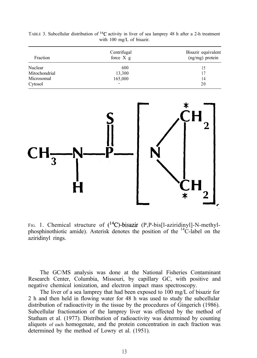| Fraction      | Centrifugal<br>force $X$ $g$ | Bisazir equivalent<br>$(ng/mg)$ protein |
|---------------|------------------------------|-----------------------------------------|
| Nuclear       | 600                          | 15                                      |
| Mitochondrial | 13,300                       | 17                                      |
| Microsomal    | 165,000                      | 14                                      |
| Cytosol       |                              | 20                                      |

TABLE 3. Subcellular distribution of 14C activity in liver of sea lamprey 48 h after a 2-h treatment with 100 mg/L of bisazir.



FIG. 1. Chemical structure of  $(^{14}C)$ -bisazir (P,P-bis[l-aziridinyl]-N-methylphosphinothiotic amide). Asterisk denotes the position of the  $^{14}$ C-label on the aziridinyl rings.

The GC/MS analysis was done at the National Fisheries Contaminant Research Center, Columbia, Missouri, by capillary GC, with positive and negative chemical ionization, and electron impact mass spectroscopy.

The liver of a sea lamprey that had been exposed to 100 mg/L of bisazir for 2 h and then held in flowing water for 48 h was used to study the subcellular distribution of radioactivity in the tissue by the procedures of Gingerich (1986). Subcellular fractionation of the lamprey liver was effected by the method of Statham et al. (1977). Distribution of radioactivity was determined by counting aliquots of each homogenate, and the protein concentration in each fraction was determined by the method of Lowry et al. (1951).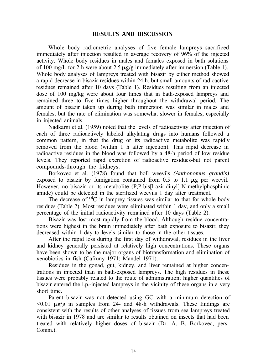## **RESULTS AND DISCUSSION**

Whole body radiometric analyses of five female lampreys sacrificed immediately after injection resulted in average recovery of 96% of the injected activity. Whole body residues in males and females exposed in bath solutions of 100 mg/L for 2 h were about 2.5  $\mu$ g/g immediately after immersion (Table 1). Whole body analyses of lampreys treated with bisazir by either method showed a rapid decrease in bisazir residues within 24 h, but small amounts of radioactive residues remained after 10 days (Table 1). Residues resulting from an injected dose of 100 mg/kg were about four times that in bath-exposed lampreys and remained three to five times higher throughout the withdrawal period. The amount of bisazir taken up during bath immersion was similar in males and females, but the rate of elimination was somewhat slower in females, especially in injected animals.

Nadkarni et al. (1959) noted that the levels of radioactivity after injection of each of three radioactively labeled alkylating drugs into humans followed a common pattern, in that the drug or its radioactive metabolite was rapidly removed from the blood (within 1 h after injection). This rapid decrease in radioactive residues in the blood was followed by a 48-h period of low residue levels. They reported rapid excretion of radioactive residues-but not parent compounds-through the kidneys.

Borkovec et al. (1978) found that boll weevils *(Anthonomus grandis)* exposed to bisazir by fumigation contained from  $0.5$  to  $1.1 \mu$ g per weevil. However, no bisazir or its metabolite (P,P-bis[l-aziridinyl]-N-methylphosphinic amide) could be detected in the sterilized weevils 1 day after treatment.

The decrease of  $^{14}C$  in lamprey tissues was similar to that for whole body residues (Table 2). Most residues were eliminated within 1 day, and only a small percentage of the initial radioactivity remained after 10 days (Table 2).

Bisazir was lost most rapidly from the blood. Although residue concentrations were highest in the brain immediately after bath exposure to bisazir, they decreased within 1 day to levels similar to those in the other tissues.

After the rapid loss during the first day of withdrawal, residues in the liver and kidney generally persisted at relatively high concentrations. These organs have been shown to be the major organs of biotransformation and elimination of xenobiotics in fish (Cafruny 1971; Mandel 1971).

Residues in the gonad, gut, kidney, and liver remained at higher concentrations in injected than in bath-exposed lampreys. The high residues in these tissues were probably related to the route of administration; higher quantities of bisazir entered the i.p.-injected lampreys in the vicinity of these organs in a very short time.

Parent bisazir was not detected using GC with a minimum detection of  $\leq 0.01$   $\mu$ g/g in samples from 24- and 48-h withdrawals. These findings are consistent with the results of other analyses of tissues from sea lampreys treated with bisazir in 1978 and are similar to results obtained on insects that had been treated with relatively higher doses of bisazir (Dr. A. B. Borkovec, pers. Comm.).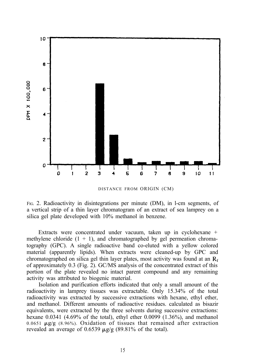

DISTANCE FROM ORIGIN (CM)

FIG. 2. Radioactivity in disintegrations per minute (DM), in l-cm segments, of a vertical strip of a thin layer chromatogram of an extract of sea lamprey on a silica gel plate developed with 10% methanol in benzene.

Extracts were concentrated under vacuum, taken up in cyclohexane + methylene chloride  $(1 + 1)$ , and chromatographed by gel permeation chromatography (GPC). A single radioactive band co-eluted with a yellow colored material (apparently lipids). When extracts were cleaned-up by GPC and chromatographed on silica gel thin layer plates, most activity was found at an  $R_f$ of approximately 0.3 (Fig. 2). GC/MS analysis of the concentrated extract of this portion of the plate revealed no intact parent compound and any remaining activity was attributed to biogenic material.

Isolation and purification efforts indicated that only a small amount of the radioactivity in lamprey tissues was extractable. Only 15.34% of the total radioactivity was extracted by successive extractions with hexane, ethyl ether, and methanol. Different amounts of radioactive residues. calculated as bisazir equivalents, were extracted by the three solvents during successive extractions: hexane 0.0341 (4.69% of the total), ethyl ether 0.0099 (1.36%), and methanol  $0.0651 \mu g/g$  (8.96%). Oxidation of tissues that remained after extraction revealed an average of 0.6539  $\mu$ g/g (89.81% of the total).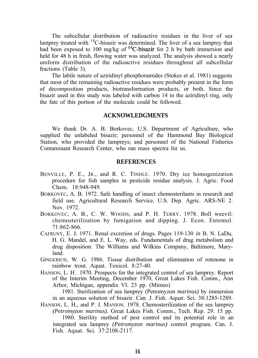The subcellular distribution of radioactive residues in the liver of sea lamprey treated with  $^{14}$ C-bisazir was determined. The liver of a sea lamprey that had been exposed to 100 mg/kg of  $^{14}$ C-bisazir for 2 h by bath immersion and held for 48 h in fresh, flowing water was analyzed. The analysis showed a nearly uniform distribution of the radioactive residues throughout all subcellular fractions (Table 3).

The labile nature of aziridinyl phosphoramides (Stokes et al. 1981) suggests that most of the remaining radioactive residues were probably present in the form of decomposition products, biotransformation products, or both. Since the bisazir used in this study was labeled with carbon 14 in the aziridinyl ring, only the fate of this portion of the molecule could be followed.

#### **ACKNOWLEDGMENTS**

We thank Dr. A. B. Borkovec, U.S. Department of Agriculture, who supplied the unlabeled bisazir; personnel of the Hammond Bay Biological Station, who provided the lampreys; and personnel of the National Fisheries Contaminant Research Center, who ran mass spectra for us.

#### **REFERENCES**

- BENVILLE, P. E., JR., and R. C. TINDLE. 1970. Dry ice homogenization procedure for fish samples in pesticide residue analysis. J. Agric. Food Chem. 18:948-949.
- BORKOVEC, A. B. 1972. Safe handling of insect chemosterilants in research and field use. Agricultural Research Service, U.S. Dep. Agric. ARS-NE 2. Nov. 1972.
- BORKOVEC, A. B., C. W. WOODS, and P. H. TERRY. 1978. Boll weevil: chemosterilization by fumigation and dipping. J. Econ. Entomol. 71:862-866.
- CAFRUNY, E. J. 1971. Renal excretion of drugs. Pages 119-130 *in* B. N. LaDu, H. G. Mandel, and E. L. Way, eds. Fundamentals of drug metabolism and drug disposition. The Williams and Wilkins Company, Baltimore, Maryland.
- GINGERICH, W. G. 1986. Tissue distribution and elimination of rotenone in rainbow trout. Aquat. Toxicol. 8:27-40.
- HANSON, L. H . 1970. Prospects for the integrated control of sea lamprey. Report of the Interim Meeting, December 1970, Great Lakes Fish. Comm., Ann Arbor, Michigan, appendix VI. 23 pp. (Mimeo)

1981. Sterilization of sea lamprey (Petromyzon *marinus)* by immersion in an aqueous solution of bisazir. Can. J. Fish. Aquat. Sci. 38:1285-1289.

HANSON, L. H., and P. J. MANION. 1978. Chemosterilization of the sea lamprey *(Petromyzon marinus).* Great Lakes Fish. Comm., Tech. Rep. 29. 15 pp.

1980. Sterility method of pest control and its potential role in an integrated sea lamprey *(Petromyzon marinus)* control program. Can. J. Fish. Aquat. Sci. 37:2108-2117.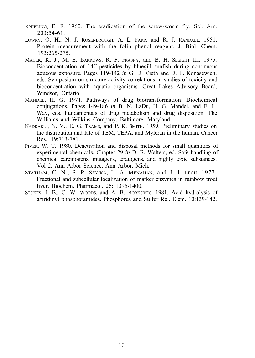- KNIPLING, E. F. 1960. The eradication of the screw-worm fly, Sci. Am. 203:54-61.
- LOWRY, O. H., N. J. ROSENBROUGH, A. L. FARR, and R. J. RANDALL. 1951. Protein measurement with the folin phenol reagent. J. Biol. Chem. 193:265-275.
- MACEK, K. J., M. E. BARROWS, R. F. FRASNY, and B. H. SLEIGHT III. 1975. Bioconcentration of 14C-pesticides by bluegill sunfish during continuous aqueous exposure. Pages 119-142 *in* G. D. Vieth and D. E. Konasewich, eds. Symposium on structure-activity correlations in studies of toxicity and bioconcentration with aquatic organisms. Great Lakes Advisory Board, Windsor, Ontario.
- MANDEL, H. G. 1971. Pathways of drug biotransformation: Biochemical conjugations. Pages 149-186 *in* B. N. LaDu, H. G. Mandel, and E. L. Way, eds. Fundamentals of drug metabolism and drug disposition. The Williams and Wilkins Company, Baltimore, Maryland.
- NADKARNI, N. V., E. G. TRAMS, and P. K. SMITH. 1959. Preliminary studies on the distribution and fate of TEM, TEPA, and Myleran in the human. Cancer Res. 19:713-781.
- PIVER, W. T. 1980. Deactivation and disposal methods for small quantities of experimental chemicals. Chapter 29 *in* D. B. Walters, ed. Safe handling of chemical carcinogens, mutagens, teratogens, and highly toxic substances. Vol 2. Ann Arbor Science, Ann Arbor, Mich.
- STATHAM, C. N., S. P. SZYJKA, L. A. MENAHAN, and J. J. LECH. 1977. Fractional and subcellular localization of marker enzymes in rainbow trout liver. Biochem. Pharmacol. 26: 1395-1400.
- STOKES, J. B., C. W. WOODS, and A. B. BORKOVEC. 1981. Acid hydrolysis of aziridinyl phosphoramides. Phosphorus and Sulfur Rel. Elem. 10:139-142.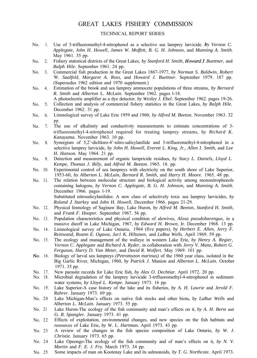## GREAT LAKES FISHERY COMMISSION

#### TECHNICAL REPORT SERIES

- No. 1. Use of 3-trifluoromethyl-4-nitrophenol as a selective sea lamprey larvicide. *bx Vernon C. Applegate, John H. Howell, James W. Moffett, B. G. H. Johnson,* and *Manning A. Smith.* May 1961. 35 pp.
- No. 2. Fishery statistical districts of the Great Lakes, *by Stanford H. Smith, HowardJ. Buettner,* and *Ralph Hile.* September 1961. 24 pp.
- $No. 3.$ Commercial fish production in the Great Lakes 1867-1977, *by Norman S. Baldwin, Robert* W. *Saalfeld, Margaret A. Ross,* and *Howard J. Buettner.* September 1979. 187 pp. (Supersedes 1962 edition and 1970 supplement.)
- No. 4. Estimation of the brook and sea lamprey ammocete populations of three streams, *by Bernard R. Smith* and *Alberton* L. *McLain.* September 1962. pages l-18. A photoelectric amplifier as a dye detector, *by Wesley J. Ebel.* September 1962. pages 19-26.
- No. 5. Collection and analysis of commercial fishery statistics in the Great Lakes, *by Ralph Hile.* December 1962. 31 pp.
- No. 6. Limnological survey of Lake Erie 1959 and 1960, *by Alfred M. Beeton.* November 1963. 32
- No. 7. PP. The use of alkalinity and conductivity measurements to estimate concentrations of 3 trifluoromethyl-4-nitrophenol required for treating lamprey streams, *by Richard K. Kanayama.* November 1963. 10 pp.
- No. 8. Synergism of 5,2'-dichloro-4'-nitro-salicylanilide and 3-trifluoromethyl-4-nitrophenol in a selective lamprey larvicide, *by John H. Howell, Everett L. King, Jr., Allen* J. *Smith,* and *Lee H. Hanson.* May 1964. 21 pp.
- No. 9. Detection and measurement of organic lampricide residues, *by Stacy L. Daniels, Lloyd L. Kempe, Thomas J. Billy,* and *Alfred M. Beeton.* 1965. 18. pp.
- No. 10. Experimental control of sea lampreys with electricity on the south shore of Lake Superior, 1953-60, *by Alberton L. McLain, Bernard R. Smith,* and *Harry H. Moore.* 1965. 48 pp.
- No. 11. The relation between molecular structure and biological activity among mononitrophenols containing halogens, *by Vernon C. Applegate, B.* G. *H. Johnson,* and *Manning A. Smith.* December 1966. pages l-19. Substituted nitrosalicylanilides: A new class of selectively toxic sea lamprey larvicides, *by Roland .I. Starkey* and *John H. Howell,* December 1966. pages 21-29.
- No. 12. Physical limnology of Saginaw Bay, Lake Huron, *by Alfred M. Beeton, Stanford H. Smith,* and *Frank F. Hooper.* September 1967. 56 pp.
- No. 13. Population characteristics and physical condition of alewives, *Alosa pseudoharengus,* in a massive dieoff in Lake Michigan, 1967, *by Edward H. Brown,* Jr. December 1968. 13 pp.
- No. 14. Limnological survey of Lake Ontario, 1964 (five papers), *by Herbert E. Allen, Jerry F. Reinwand, Roann E. Ogawa, Jar1 K. Hiltunen,* and *LaRue Wells.* April 1969. 59 pp.
- No. 15. The ecology and management of the walleye in western Lake Erie, *by Henry A. Regier, Vernon C. Applegate* and *Richard A. Ryder,* in collaboration with *Jerry V. Manz, Robert G. Ferguson, Harry D. Van Meter,* and *David R. Wolfert.* May 1969. 101 pp.
- No. 16. Biology of larval sea lampreys *(Petromyzon marinus)* of the 1960 year class, isolated in the Big Garlic River, Michigan, 1960, *by Patrick J.* Manion and *Alberton L. McLain.* October 1971. 35 pp.
- No. 17. New parasite records for Lake Erie fish, *by Alex O. Dechtiar.* April 1972. 20 pp.
- No. 18. Microbial degradation of the lamprey larvicide 3-trifluoromethyl-4-nitrophenol in sedimentwater systems, *by Lloyd L. Kempe.* January 1973. 16 pp.
- No. 19. Lake Superior-A case history of the lake and its fisheries, *by A. H. Lawrie* and *Jerold F. Rahrer.* January 1973. 69 pp.
- No. 20 Lake Michigan-Man's effects on native fish stocks and other biota, *by LaRue Wells* and *Alberton L. McLain.* January 1973. 55 pp.
- No. 21 Lake Huron-The ecology of the fish community and man's effects on it, *by A. H. Berst* and G. *R. Spangler.* January 1973. 41 pp.
- No. 22 Effects of exploitation, environmental changes, and new species on the fish habitats and resources of Lake Erie, *by W. L. Hartman.* April 1973. 43 pp.
- No. 23 A review of the changes in the fish species composition of Lake Ontario, *by W. J. Christie.* January 1973. 65 pp.
- No. 24 Lake Opeongo-The ecology of the fish community and of man's effects on it, *by N. V. Martin* and *F. E. J. Fry.* March 1973. 34 pp.
- No. 25 Some impacts of man on Kootenay Lake and its salmonoids, *by T. G. Northcote.* April 1973.